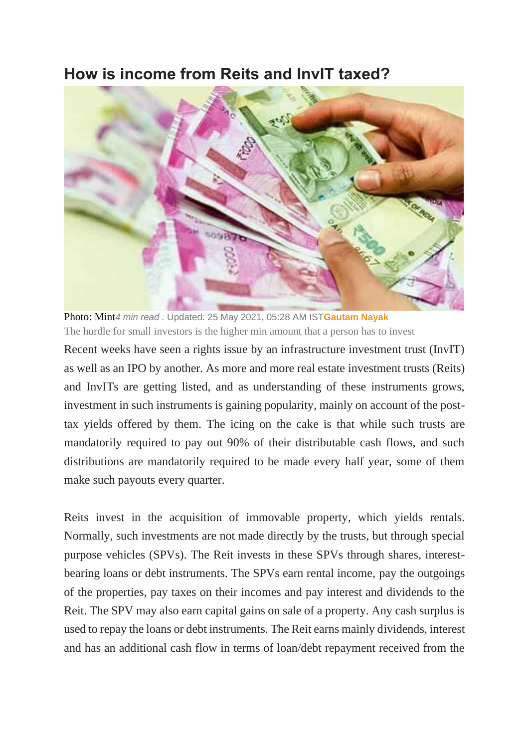## **How is income from Reits and InvIT taxed?**



Photo: Mint*4 min read .* Updated: 25 May 2021, 05:28 AM IST**[Gautam Nayak](https://www.livemint.com/Search/Link/Author/Gautam-Nayak)** The hurdle for small investors is the higher min amount that a person has to invest

Recent weeks have seen a rights issue by an infrastructure investment trust (InvIT) as well as an IPO by another. As more and more real estate investment trusts (Reits) and InvITs are getting listed, and as understanding of these instruments grows, investment in such instruments is gaining popularity, mainly on account of the posttax yields offered by them. The icing on the cake is that while such trusts are mandatorily required to pay out 90% of their distributable cash flows, and such distributions are mandatorily required to be made every half year, some of them make such payouts every quarter.

Reits invest in the acquisition of immovable property, which yields rentals. Normally, such investments are not made directly by the trusts, but through special purpose vehicles (SPVs). The Reit invests in these SPVs through shares, interestbearing loans or debt instruments. The SPVs earn rental income, pay the outgoings of the properties, pay taxes on their incomes and pay interest and dividends to the Reit. The SPV may also earn capital gains on sale of a property. Any cash surplus is used to repay the loans or debt instruments. The Reit earns mainly dividends, interest and has an additional cash flow in terms of loan/debt repayment received from the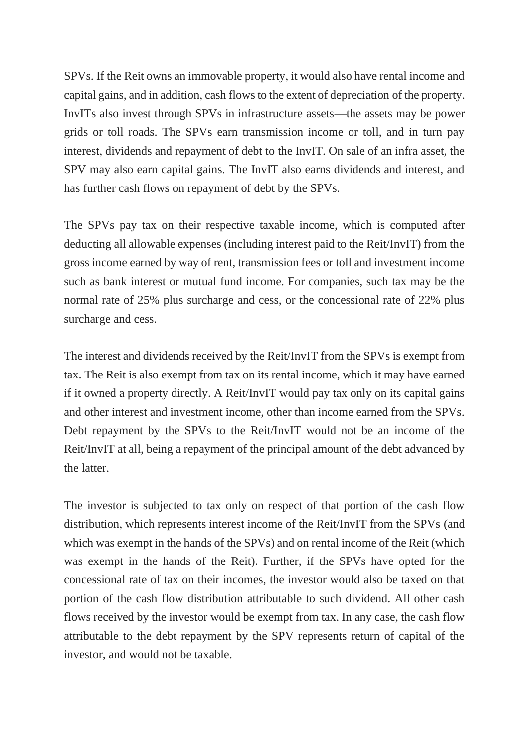SPVs. If the Reit owns an immovable property, it would also have rental income and capital gains, and in addition, cash flows to the extent of depreciation of the property. InvITs also invest through SPVs in infrastructure assets—the assets may be power grids or toll roads. The SPVs earn transmission income or toll, and in turn pay interest, dividends and repayment of debt to the InvIT. On sale of an infra asset, the SPV may also earn capital gains. The InvIT also earns dividends and interest, and has further cash flows on repayment of debt by the SPVs.

The SPVs pay tax on their respective taxable income, which is computed after deducting all allowable expenses (including interest paid to the Reit/InvIT) from the gross income earned by way of rent, transmission fees or toll and investment income such as bank interest or mutual fund income. For companies, such tax may be the normal rate of 25% plus surcharge and cess, or the concessional rate of 22% plus surcharge and cess.

The interest and dividends received by the Reit/InvIT from the SPVs is exempt from tax. The Reit is also exempt from tax on its rental income, which it may have earned if it owned a property directly. A Reit/InvIT would pay tax only on its capital gains and other interest and investment income, other than income earned from the SPVs. Debt repayment by the SPVs to the Reit/InvIT would not be an income of the Reit/InvIT at all, being a repayment of the principal amount of the debt advanced by the latter.

The investor is subjected to tax only on respect of that portion of the cash flow distribution, which represents interest income of the Reit/InvIT from the SPVs (and which was exempt in the hands of the SPVs) and on rental income of the Reit (which was exempt in the hands of the Reit). Further, if the SPVs have opted for the concessional rate of tax on their incomes, the investor would also be taxed on that portion of the cash flow distribution attributable to such dividend. All other cash flows received by the investor would be exempt from tax. In any case, the cash flow attributable to the debt repayment by the SPV represents return of capital of the investor, and would not be taxable.